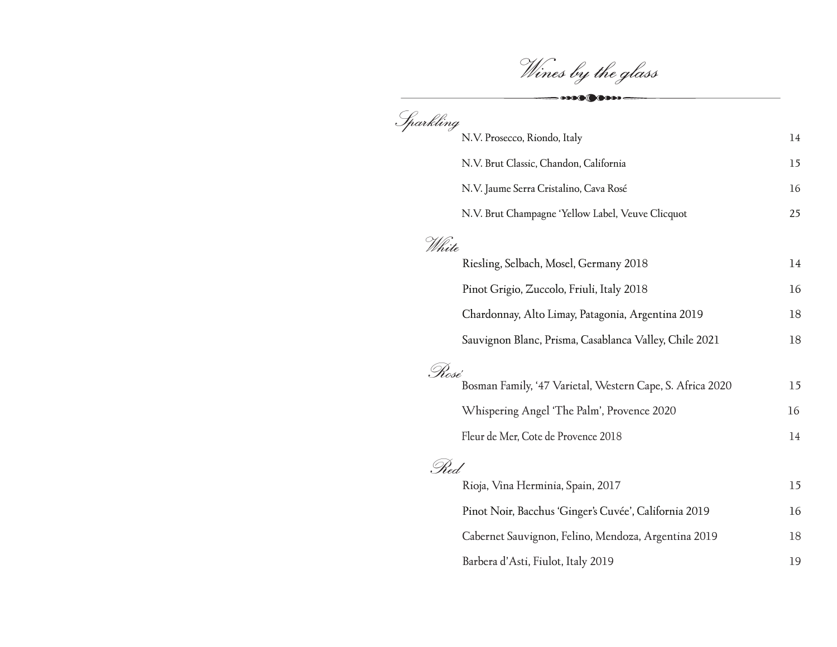Wines by the glass

 $-000000000000$ 

| Sparkling |                                                           |        |
|-----------|-----------------------------------------------------------|--------|
|           | N.V. Prosecco, Riondo, Italy                              | $14\,$ |
|           | N.V. Brut Classic, Chandon, California                    | 15     |
|           | N.V. Jaume Serra Cristalino, Cava Rosé                    | 16     |
|           | N.V. Brut Champagne 'Yellow Label, Veuve Clicquot         | 25     |
| White     |                                                           |        |
|           | Riesling, Selbach, Mosel, Germany 2018                    | 14     |
|           | Pinot Grigio, Zuccolo, Friuli, Italy 2018                 | 16     |
|           | Chardonnay, Alto Limay, Patagonia, Argentina 2019         | 18     |
|           | Sauvignon Blanc, Prisma, Casablanca Valley, Chile 2021    | 18     |
| . Rosé    |                                                           |        |
|           | Bosman Family, '47 Varietal, Western Cape, S. Africa 2020 | 15     |
|           | Whispering Angel 'The Palm', Provence 2020                | 16     |
|           | Fleur de Mer, Cote de Provence 2018                       | 14     |
| . Red.    |                                                           |        |
|           | Rioja, Vina Herminia, Spain, 2017                         | 15     |
|           | Pinot Noir, Bacchus 'Ginger's Cuvée', California 2019     | 16     |
|           | Cabernet Sauvignon, Felino, Mendoza, Argentina 2019       | 18     |
|           | Barbera d'Asti, Fiulot, Italy 2019                        | 19     |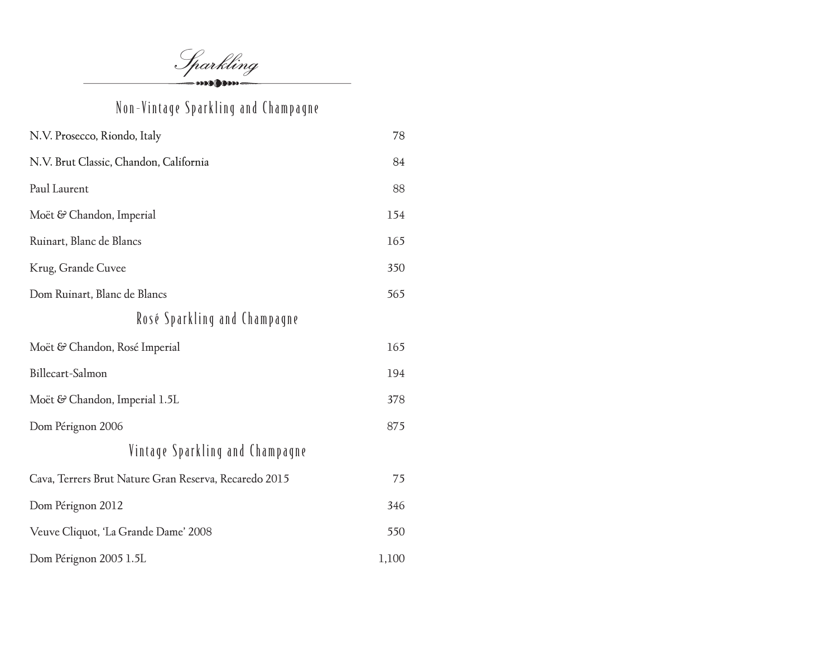Sparkling

# Non-Vintage Sparkling and Champagne

| N.V. Prosecco, Riondo, Italy                          | 78    |
|-------------------------------------------------------|-------|
| N.V. Brut Classic, Chandon, California                | 84    |
| Paul Laurent                                          | 88    |
| Moët & Chandon, Imperial                              | 154   |
| Ruinart, Blanc de Blancs                              | 165   |
| Krug, Grande Cuvee                                    | 350   |
| Dom Ruinart, Blanc de Blancs                          | 565   |
| Rosé Sparkling and Champagne                          |       |
| Moët & Chandon, Rosé Imperial                         | 165   |
| Billecart-Salmon                                      | 194   |
| Moët & Chandon, Imperial 1.5L                         | 378   |
| Dom Pérignon 2006                                     | 875   |
| Vintage Sparkling and Champagne                       |       |
| Cava, Terrers Brut Nature Gran Reserva, Recaredo 2015 | 75    |
| Dom Pérignon 2012                                     | 346   |
| Veuve Cliquot, 'La Grande Dame' 2008                  | 550   |
| Dom Pérignon 2005 1.5L                                | 1,100 |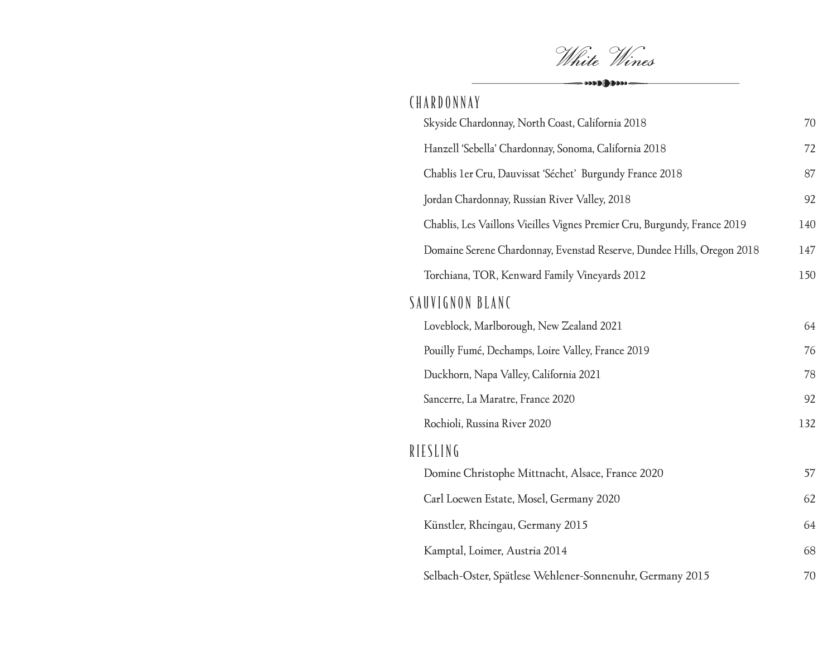White Wines

| $\begin{picture}(20,10) \put(0,0){\line(1,0){100}} \put(15,0){\line(1,0){100}} \put(15,0){\line(1,0){100}} \put(15,0){\line(1,0){100}} \put(15,0){\line(1,0){100}} \put(15,0){\line(1,0){100}} \put(15,0){\line(1,0){100}} \put(15,0){\line(1,0){100}} \put(15,0){\line(1,0){100}} \put(15,0){\line(1,0){100}} \put(15,0){\line(1,0){100}} \$ |     |
|-----------------------------------------------------------------------------------------------------------------------------------------------------------------------------------------------------------------------------------------------------------------------------------------------------------------------------------------------|-----|
| CHARDONNAY                                                                                                                                                                                                                                                                                                                                    |     |
| Skyside Chardonnay, North Coast, California 2018                                                                                                                                                                                                                                                                                              | 70  |
| Hanzell 'Sebella' Chardonnay, Sonoma, California 2018                                                                                                                                                                                                                                                                                         | 72  |
| Chablis 1er Cru, Dauvissat 'Séchet' Burgundy France 2018                                                                                                                                                                                                                                                                                      | 87  |
| Jordan Chardonnay, Russian River Valley, 2018                                                                                                                                                                                                                                                                                                 | 92  |
| Chablis, Les Vaillons Vieilles Vignes Premier Cru, Burgundy, France 2019                                                                                                                                                                                                                                                                      | 140 |
| Domaine Serene Chardonnay, Evenstad Reserve, Dundee Hills, Oregon 2018                                                                                                                                                                                                                                                                        | 147 |
| Torchiana, TOR, Kenward Family Vineyards 2012                                                                                                                                                                                                                                                                                                 | 150 |
| SAUVIGNON BLANC                                                                                                                                                                                                                                                                                                                               |     |
| Loveblock, Marlborough, New Zealand 2021                                                                                                                                                                                                                                                                                                      | 64  |
| Pouilly Fumé, Dechamps, Loire Valley, France 2019                                                                                                                                                                                                                                                                                             | 76  |
| Duckhorn, Napa Valley, California 2021                                                                                                                                                                                                                                                                                                        | 78  |
| Sancerre, La Maratre, France 2020                                                                                                                                                                                                                                                                                                             | 92  |
| Rochioli, Russina River 2020                                                                                                                                                                                                                                                                                                                  | 132 |
| RIESLING                                                                                                                                                                                                                                                                                                                                      |     |
| Domine Christophe Mittnacht, Alsace, France 2020                                                                                                                                                                                                                                                                                              | 57  |
| Carl Loewen Estate, Mosel, Germany 2020                                                                                                                                                                                                                                                                                                       | 62  |
| Künstler, Rheingau, Germany 2015                                                                                                                                                                                                                                                                                                              | 64  |
| Kamptal, Loimer, Austria 2014                                                                                                                                                                                                                                                                                                                 | 68  |
| Selbach-Oster, Spätlese Wehlener-Sonnenuhr, Germany 2015                                                                                                                                                                                                                                                                                      | 70  |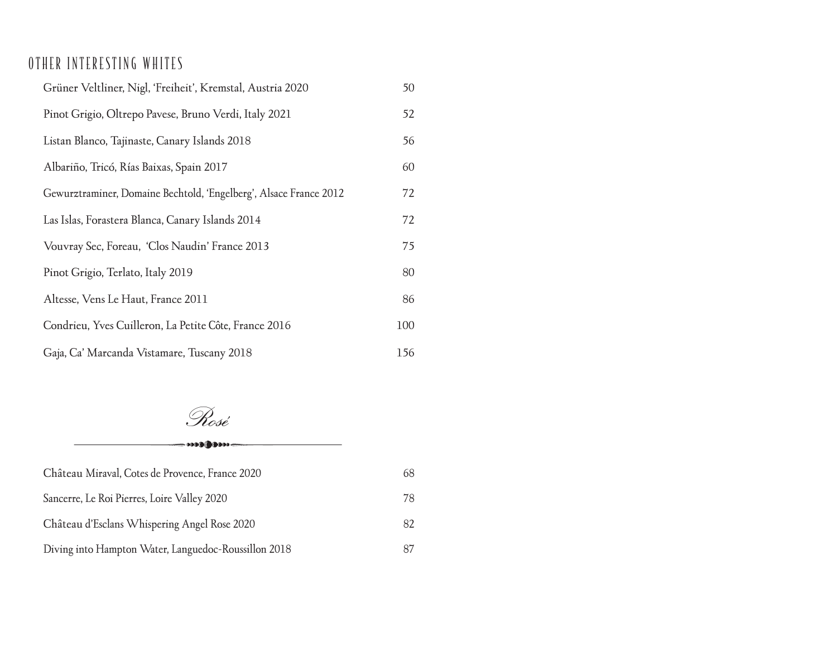### OTHER INTERESTING WHITES

| Grüner Veltliner, Nigl, 'Freiheit', Kremstal, Austria 2020        | 50  |
|-------------------------------------------------------------------|-----|
| Pinot Grigio, Oltrepo Pavese, Bruno Verdi, Italy 2021             | 52  |
| Listan Blanco, Tajinaste, Canary Islands 2018                     | 56  |
| Albariño, Tricó, Rías Baixas, Spain 2017                          | 60  |
| Gewurztraminer, Domaine Bechtold, 'Engelberg', Alsace France 2012 | 72  |
| Las Islas, Forastera Blanca, Canary Islands 2014                  | 72  |
| Vouvray Sec, Foreau, 'Clos Naudin' France 2013                    | 75  |
| Pinot Grigio, Terlato, Italy 2019                                 | 80  |
| Altesse, Vens Le Haut, France 2011                                | 86  |
| Condrieu, Yves Cuilleron, La Petite Côte, France 2016             | 100 |
| Gaja, Ca' Marcanda Vistamare, Tuscany 2018                        | 156 |

Rosé

 $\cdots$   $\bullet$ 

# Château Miraval, Cotes de Provence, France 2020 68 Sancerre, Le Roi Pierres, Loire Valley 2020 78

| Château d'Esclans Whispering Angel Rose 2020         | 82 |
|------------------------------------------------------|----|
| Diving into Hampton Water, Languedoc-Roussillon 2018 |    |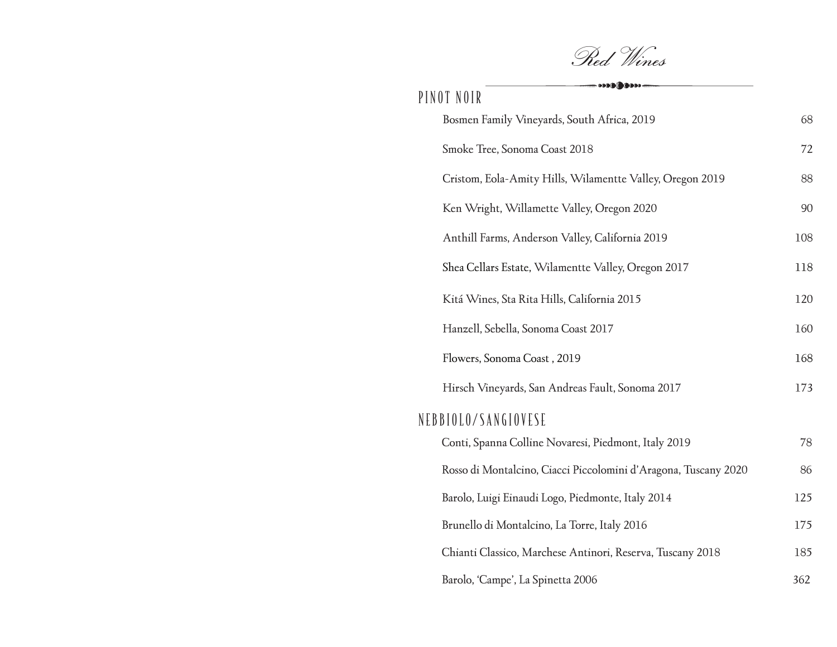Red Wines

| $\longrightarrow\hspace*{0.2cm} \longrightarrow\hspace*{0.2cm} \longrightarrow\hspace*{0.2cm} \longrightarrow\hspace*{0.2cm} \longrightarrow\hspace*{0.2cm} \longrightarrow\hspace*{0.2cm} \longrightarrow\hspace*{0.2cm} \longrightarrow\hspace*{0.2cm} \longrightarrow\hspace*{0.2cm} \longrightarrow\hspace*{0.2cm} \longrightarrow\hspace*{0.2cm} \longrightarrow\hspace*{0.2cm} \longrightarrow\hspace*{0.2cm} \longrightarrow\hspace*{0.2cm} \longrightarrow\hspace*{0.2cm} \longrightarrow\hspace*{0.2cm} \longrightarrow\hspace*{0.2cm} \longrightarrow\hspace*{0.2cm} \longrightarrow\hs$<br>PINOT NOIR |     |
|------------------------------------------------------------------------------------------------------------------------------------------------------------------------------------------------------------------------------------------------------------------------------------------------------------------------------------------------------------------------------------------------------------------------------------------------------------------------------------------------------------------------------------------------------------------------------------------------------------------|-----|
| Bosmen Family Vineyards, South Africa, 2019                                                                                                                                                                                                                                                                                                                                                                                                                                                                                                                                                                      | 68  |
| Smoke Tree, Sonoma Coast 2018                                                                                                                                                                                                                                                                                                                                                                                                                                                                                                                                                                                    | 72  |
| Cristom, Eola-Amity Hills, Wilamentte Valley, Oregon 2019                                                                                                                                                                                                                                                                                                                                                                                                                                                                                                                                                        | 88  |
| Ken Wright, Willamette Valley, Oregon 2020                                                                                                                                                                                                                                                                                                                                                                                                                                                                                                                                                                       | 90  |
| Anthill Farms, Anderson Valley, California 2019                                                                                                                                                                                                                                                                                                                                                                                                                                                                                                                                                                  | 108 |
| Shea Cellars Estate, Wilamentte Valley, Oregon 2017                                                                                                                                                                                                                                                                                                                                                                                                                                                                                                                                                              | 118 |
| Kitá Wines, Sta Rita Hills, California 2015                                                                                                                                                                                                                                                                                                                                                                                                                                                                                                                                                                      | 120 |
| Hanzell, Sebella, Sonoma Coast 2017                                                                                                                                                                                                                                                                                                                                                                                                                                                                                                                                                                              | 160 |
| Flowers, Sonoma Coast, 2019                                                                                                                                                                                                                                                                                                                                                                                                                                                                                                                                                                                      | 168 |
| Hirsch Vineyards, San Andreas Fault, Sonoma 2017                                                                                                                                                                                                                                                                                                                                                                                                                                                                                                                                                                 | 173 |
| NEBBIOLO/SANGIOVESE                                                                                                                                                                                                                                                                                                                                                                                                                                                                                                                                                                                              |     |
| Conti, Spanna Colline Novaresi, Piedmont, Italy 2019                                                                                                                                                                                                                                                                                                                                                                                                                                                                                                                                                             | 78  |
| Rosso di Montalcino, Ciacci Piccolomini d'Aragona, Tuscany 2020                                                                                                                                                                                                                                                                                                                                                                                                                                                                                                                                                  | 86  |
| Barolo, Luigi Einaudi Logo, Piedmonte, Italy 2014                                                                                                                                                                                                                                                                                                                                                                                                                                                                                                                                                                | 125 |
| Brunello di Montalcino, La Torre, Italy 2016                                                                                                                                                                                                                                                                                                                                                                                                                                                                                                                                                                     | 175 |
| Chianti Classico, Marchese Antinori, Reserva, Tuscany 2018                                                                                                                                                                                                                                                                                                                                                                                                                                                                                                                                                       | 185 |
| Barolo, 'Campe', La Spinetta 2006                                                                                                                                                                                                                                                                                                                                                                                                                                                                                                                                                                                | 362 |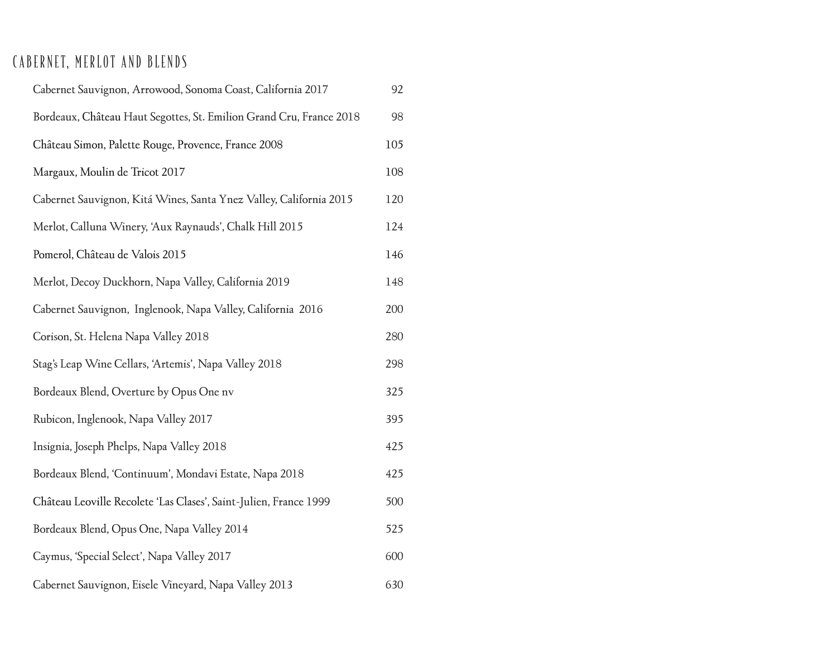## CABERNET, MERLOT AND BLENDS

| Cabernet Sauvignon, Arrowood, Sonoma Coast, California 2017         | 92  |
|---------------------------------------------------------------------|-----|
| Bordeaux, Château Haut Segottes, St. Emilion Grand Cru, France 2018 | 98  |
| Château Simon, Palette Rouge, Provence, France 2008                 | 105 |
| Margaux, Moulin de Tricot 2017                                      | 108 |
| Cabernet Sauvignon, Kitá Wines, Santa Ynez Valley, California 2015  | 120 |
| Merlot, Calluna Winery, 'Aux Raynauds', Chalk Hill 2015             | 124 |
| Pomerol, Château de Valois 2015                                     | 146 |
| Merlot, Decoy Duckhorn, Napa Valley, California 2019                | 148 |
| Cabernet Sauvignon, Inglenook, Napa Valley, California 2016         | 200 |
| Corison, St. Helena Napa Valley 2018                                | 280 |
| Stag's Leap Wine Cellars, 'Artemis', Napa Valley 2018               | 298 |
| Bordeaux Blend, Overture by Opus One nv                             | 325 |
| Rubicon, Inglenook, Napa Valley 2017                                | 395 |
| Insignia, Joseph Phelps, Napa Valley 2018                           | 425 |
| Bordeaux Blend, 'Continuum', Mondavi Estate, Napa 2018              | 425 |
| Château Leoville Recolete 'Las Clases', Saint-Julien, France 1999   | 500 |
| Bordeaux Blend, Opus One, Napa Valley 2014                          | 525 |
| Caymus, 'Special Select', Napa Valley 2017                          | 600 |
| Cabernet Sauvignon, Eisele Vineyard, Napa Valley 2013               | 630 |